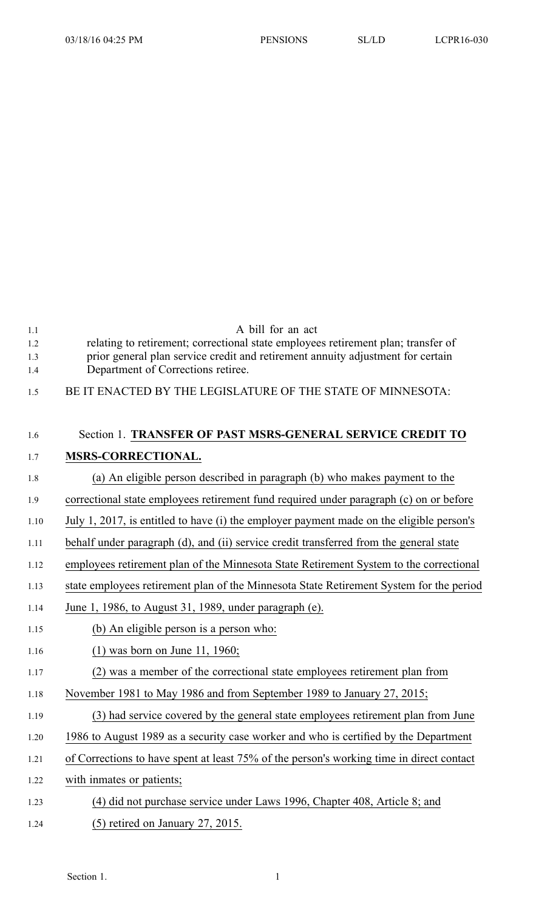| 1.1<br>1.2<br>1.3<br>1.4 | A bill for an act<br>relating to retirement; correctional state employees retirement plan; transfer of<br>prior general plan service credit and retirement annuity adjustment for certain<br>Department of Corrections retiree. |
|--------------------------|---------------------------------------------------------------------------------------------------------------------------------------------------------------------------------------------------------------------------------|
| 1.5                      | BE IT ENACTED BY THE LEGISLATURE OF THE STATE OF MINNESOTA:                                                                                                                                                                     |
| 1.6                      | Section 1. TRANSFER OF PAST MSRS-GENERAL SERVICE CREDIT TO                                                                                                                                                                      |
| 1.7                      | MSRS-CORRECTIONAL.                                                                                                                                                                                                              |
| 1.8                      | (a) An eligible person described in paragraph (b) who makes payment to the                                                                                                                                                      |
| 1.9                      | correctional state employees retirement fund required under paragraph (c) on or before                                                                                                                                          |
| 1.10                     | July 1, 2017, is entitled to have (i) the employer payment made on the eligible person's                                                                                                                                        |
| 1.11                     | behalf under paragraph (d), and (ii) service credit transferred from the general state                                                                                                                                          |
| 1.12                     | employees retirement plan of the Minnesota State Retirement System to the correctional                                                                                                                                          |
| 1.13                     | state employees retirement plan of the Minnesota State Retirement System for the period                                                                                                                                         |
| 1.14                     | June 1, 1986, to August 31, 1989, under paragraph (e).                                                                                                                                                                          |
| 1.15                     | (b) An eligible person is a person who:                                                                                                                                                                                         |
| 1.16                     | $(1)$ was born on June 11, 1960;                                                                                                                                                                                                |
| 1.17                     | (2) was a member of the correctional state employees retirement plan from                                                                                                                                                       |
| 1.18                     | November 1981 to May 1986 and from September 1989 to January 27, 2015;                                                                                                                                                          |
| 1.19                     | (3) had service covered by the general state employees retirement plan from June                                                                                                                                                |
| 1.20                     | 1986 to August 1989 as a security case worker and who is certified by the Department                                                                                                                                            |
| 1.21                     | of Corrections to have spent at least 75% of the person's working time in direct contact                                                                                                                                        |
| 1.22                     | with inmates or patients;                                                                                                                                                                                                       |
| 1.23                     | (4) did not purchase service under Laws 1996, Chapter 408, Article 8; and                                                                                                                                                       |
| 1.24                     | $(5)$ retired on January 27, 2015.                                                                                                                                                                                              |